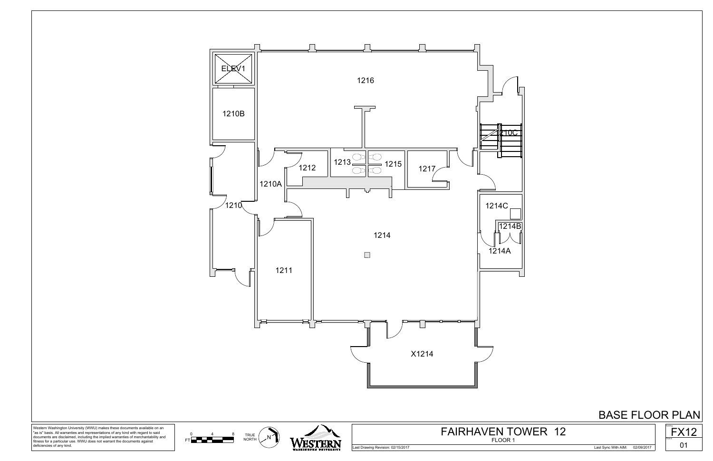

Western Washington University (WWU) makes these documents available on an "as is" basis. All warranties and representations of any kind with regard to said documents are disclaimed, including the implied warranties of merchantability and fitness for a particular use. WWU does not warrant the documents against deficiencies of any kind.



N WESTERN

 $0$  4 8 TRUE  $\left($  N

 $FT$   $\rightarrow$   $\rightarrow$ 



FLOOR 1 FAIRHAVEN TOWER 12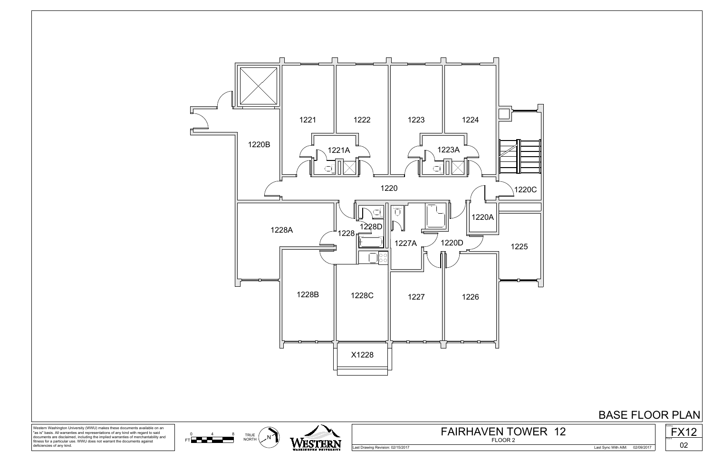



FT **No. 4** 8 TRUE NORTH

0 4 8 TRI

Western Washington University (WWU) makes these documents available on an "as is" basis. All warranties and representations of any kind with regard to said documents are disclaimed, including the implied warranties of merchantability and fitness for a particular use. WWU does not warrant the documents against deficiencies of any kind.

Last Drawing Revision: 02/15/2017 Last Sync With AIM: 02/09/2017





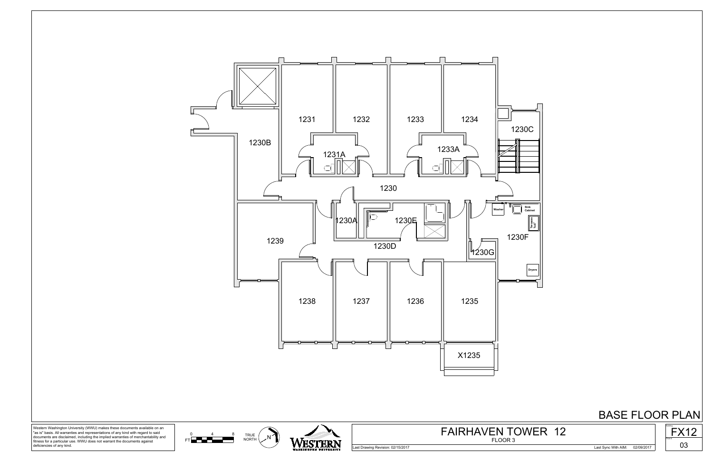





Western Washington University (WWU) makes these documents available on an "as is" basis. All warranties and representations of any kind with regard to said documents are disclaimed, including the implied warranties of merchantability and fitness for a particular use. WWU does not warrant the documents against deficiencies of any kind.

Last Drawing Revision: 02/15/2017 Last Sync With AIM: 02/09/2017



FT **No. 4** 8 TRUE NORTH

0 4 8 TRI



FLOOR 3

FAIRHAVEN TOWER 12